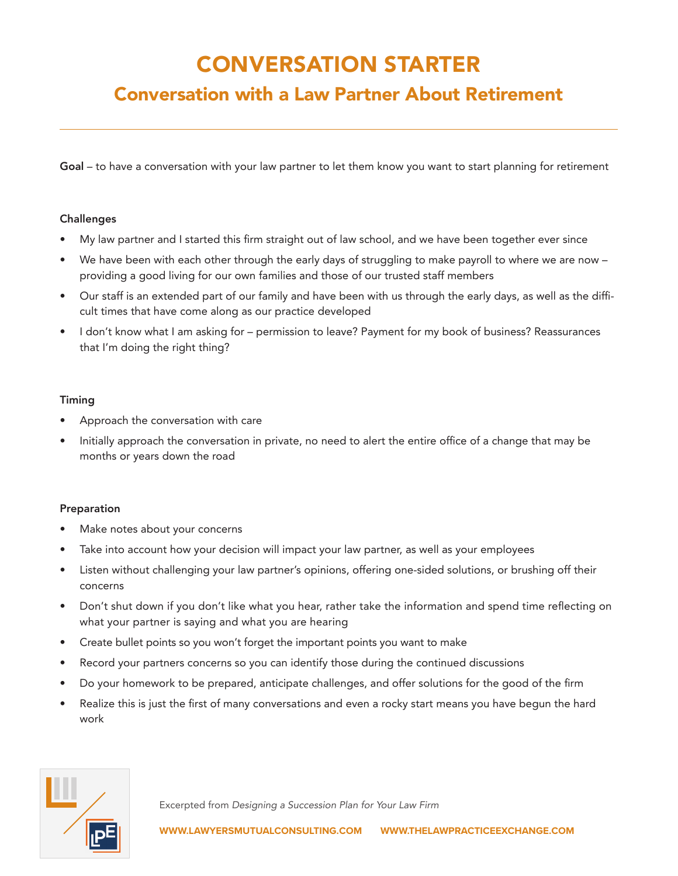# CONVERSATION STARTER

# Conversation with a Law Partner About Retirement

Goal – to have a conversation with your law partner to let them know you want to start planning for retirement

## Challenges

- My law partner and I started this firm straight out of law school, and we have been together ever since
- We have been with each other through the early days of struggling to make payroll to where we are now providing a good living for our own families and those of our trusted staff members
- Our staff is an extended part of our family and have been with us through the early days, as well as the difficult times that have come along as our practice developed
- I don't know what I am asking for permission to leave? Payment for my book of business? Reassurances that I'm doing the right thing?

#### Timing

- Approach the conversation with care
- Initially approach the conversation in private, no need to alert the entire office of a change that may be months or years down the road

## Preparation

- Make notes about your concerns
- Take into account how your decision will impact your law partner, as well as your employees
- Listen without challenging your law partner's opinions, offering one-sided solutions, or brushing off their concerns
- Don't shut down if you don't like what you hear, rather take the information and spend time reflecting on what your partner is saying and what you are hearing
- Create bullet points so you won't forget the important points you want to make
- Record your partners concerns so you can identify those during the continued discussions
- Do your homework to be prepared, anticipate challenges, and offer solutions for the good of the firm
- Realize this is just the first of many conversations and even a rocky start means you have begun the hard work



Excerpted from *Designing a Succession Plan for Your Law Firm*